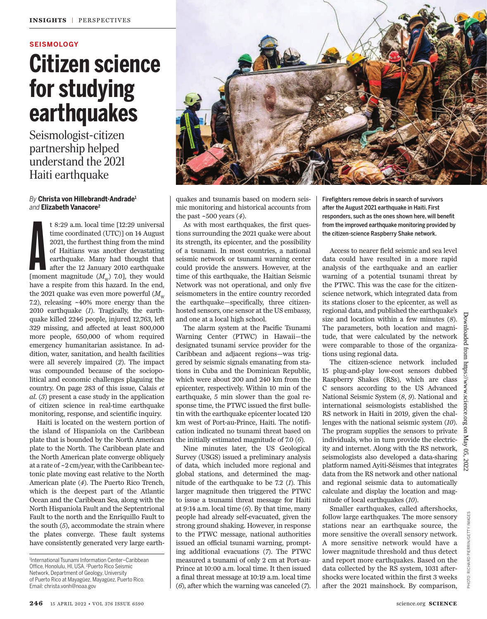#### **SEISMOLOGY**

## **Citizen science for studying earthquakes**

Seismologist-citizen partnership helped understand the 2021 Haiti earthquake

#### *By* **Christa von Hillebrandt-Andrade<sup>1</sup>** *and* **Elizabeth Vanacore<sup>2</sup>**

t 8:29 a.m. local time [12:29 universal<br>time coordinated (UTC)] on 14 August<br>2021, the furthest thing from the mind<br>of Haitians was another devastating<br>earthquake. Many had thought that<br>after the 12 January 2010 earthquak t 8:29 a.m. local time [12:29 universal time coordinated (UTC)] on 14 August 2021, the furthest thing from the mind of Haitians was another devastating earthquake. Many had thought that after the 12 January 2010 earthquake have a respite from this hazard. In the end, the 2021 quake was even more powerful  $(M<sub>w</sub>)$ 7.2), releasing ~40% more energy than the 2010 earthquake (*1*). Tragically, the earthquake killed 2246 people, injured 12,763, left 329 missing, and affected at least 800,000 more people, 650,000 of whom required emergency humanitarian assistance. In addition, water, sanitation, and health facilities were all severely impaired (*2*). The impact was compounded because of the sociopolitical and economic challenges plaguing the country. On page 283 of this issue, Calais *et al*. (*3*) present a case study in the application of citizen science in real-time earthquake monitoring, response, and scientific inquiry.

Haiti is located on the western portion of the island of Hispaniola on the Caribbean plate that is bounded by the North American plate to the North. The Caribbean plate and the North American plate converge obliquely at a rate of ~2 cm/year, with the Caribbean tectonic plate moving east relative to the North American plate (*4*). The Puerto Rico Trench, which is the deepest part of the Atlantic Ocean and the Caribbean Sea, along with the North Hispaniola Fault and the Septentrional Fault to the north and the Enriquillo Fault to the south (*5*), accommodate the strain where the plates converge. These fault systems have consistently generated very large earth-

1 International Tsunami Information Center–Caribbean Office, Honolulu, HI, USA. <sup>2</sup>Puerto Rico Seismic Network, Department of Geology, University of Puerto Rico at Mayagüez, Mayagüez, Puerto Rico. Email: christa.vonh@noaa.gov



quakes and tsunamis based on modern seismic monitoring and historical accounts from the past ~500 years (*4*).

As with most earthquakes, the first questions surrounding the 2021 quake were about its strength, its epicenter, and the possibility of a tsunami. In most countries, a national seismic network or tsunami warning center could provide the answers. However, at the time of this earthquake, the Haitian Seismic Network was not operational, and only five seismometers in the entire country recorded the earthquake—specifically, three citizenhosted sensors, one sensor at the US embassy, and one at a local high school.

The alarm system at the Pacific Tsunami Warning Center (PTWC) in Hawaii—the designated tsunami service provider for the Caribbean and adjacent regions—was triggered by seismic signals emanating from stations in Cuba and the Dominican Republic, which were about 200 and 240 km from the epicenter, respectively. Within 10 min of the earthquake, 5 min slower than the goal response time, the PTWC issued the first bulletin with the earthquake epicenter located 120 km west of Port-au-Prince, Haiti. The notification indicated no tsunami threat based on the initially estimated magnitude of 7.0 (*6*).

Nine minutes later, the US Geological Survey (USGS) issued a preliminary analysis of data, which included more regional and global stations, and determined the magnitude of the earthquake to be 7.2 (*1*). This larger magnitude then triggered the PTWC to issue a tsunami threat message for Haiti at 9:14 a.m. local time (*6*). By that time, many people had already self-evacuated, given the strong ground shaking. However, in response to the PTWC message, national authorities issued an official tsunami warning, prompting additional evacuations (*7*). The PTWC measured a tsunami of only 2 cm at Port-au-Prince at 10:00 a.m. local time. It then issued a final threat message at 10:19 a.m. local time (*6*), after which the warning was canceled (*7*).

Firefighters remove debris in search of survivors after the August 2021 earthquake in Haiti. First responders, such as the ones shown here, will benefit from the improved earthquake monitoring provided by the citizen-science Raspberry Shake network.

Access to nearer field seismic and sea level data could have resulted in a more rapid analysis of the earthquake and an earlier warning of a potential tsunami threat by the PTWC. This was the case for the citizenscience network, which integrated data from its stations closer to the epicenter, as well as regional data, and published the earthquake's size and location within a few minutes (*8*). The parameters, both location and magnitude, that were calculated by the network were comparable to those of the organizations using regional data.

The citizen-science network included 15 plug-and-play low-cost sensors dubbed Raspberry Shakes (RSs), which are class C sensors according to the US Advanced National Seismic System (*8*, *9*). National and international seismologists established the RS network in Haiti in 2019, given the challenges with the national seismic system (*10*). The program supplies the sensors to private individuals, who in turn provide the electricity and internet. Along with the RS network, seismologists also developed a data-sharing platform named Ayiti-Séismes that integrates data from the RS network and other national and regional seismic data to automatically calculate and display the location and magnitude of local earthquakes (*10*).

Smaller earthquakes, called aftershocks, follow large earthquakes. The more sensory stations near an earthquake source, the more sensitive the overall sensory network. A more sensitive network would have a lower magnitude threshold and thus detect and report more earthquakes. Based on the data collected by the RS system, 1031 aftershocks were located within the first 3 weeks after the 2021 mainshock. By comparison,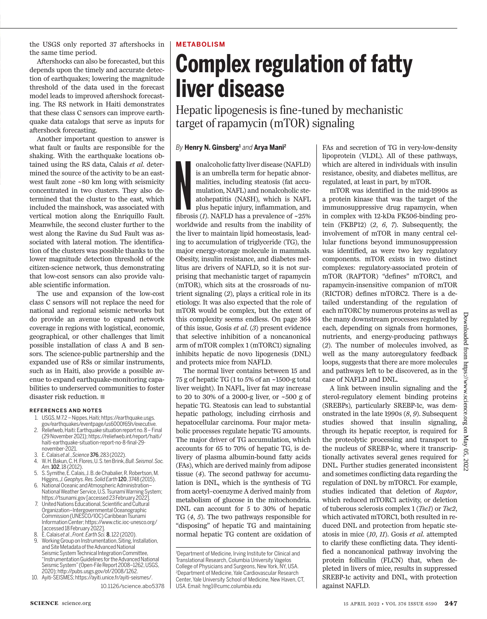the USGS only reported 37 aftershocks in the same time period.

Aftershocks can also be forecasted, but this depends upon the timely and accurate detection of earthquakes; lowering the magnitude threshold of the data used in the forecast model leads to improved aftershock forecasting. The RS network in Haiti demonstrates that these class C sensors can improve earthquake data catalogs that serve as inputs for aftershock forecasting.

Another important question to answer is what fault or faults are responsible for the shaking. With the earthquake locations obtained using the RS data, Calais *et al*. determined the source of the activity to be an eastwest fault zone ~80 km long with seismicity concentrated in two clusters. They also determined that the cluster to the east, which included the mainshock, was associated with vertical motion along the Enriquillo Fault. Meanwhile, the second cluster further to the west along the Ravine du Sud Fault was associated with lateral motion. The identification of the clusters was possible thanks to the lower magnitude detection threshold of the citizen-science network, thus demonstrating that low-cost sensors can also provide valuable scientific information.

The use and expansion of the low-cost class C sensors will not replace the need for national and regional seismic networks but do provide an avenue to expand network coverage in regions with logistical, economic, geographical, or other challenges that limit possible installation of class A and B sensors. The science-public partnership and the expanded use of RSs or similar instruments, such as in Haiti, also provide a possible avenue to expand earthquake-monitoring capabilities to underserved communities to foster disaster risk reduction.  $\blacksquare$ 

#### **REFERENCES AND NOTES**

- 1. USGS, M 7.2 Nippes, Haiti; https://earthquake.usgs. gov/earthquakes/eventpage/us6000f65h/executive.
- 2. Reliefweb, Haiti: Earthquake situation report no. 8 Final (29 November 2021); https://reliefweb.int/report/haiti/ haiti-earthquake-situation-report-no-8-final-29november-2021.
- 
- 3. E. Calais *et al*., *Science*376, 283 (2022). 4. W. H. Bakun, C. H. Flores, U. S. ten Brink, *Bull. Seismol. Soc. Am*. 102, 18 (2012).
- 5. S. Symithe, E. Calais, J. B. de Chabalier, R. Robertson, M. Higgins, *J. Geophys. Res. Solid Earth* 120, 3748 (2015).
- 6. National Oceanic and Atmospheric Administration– National Weather Service, U.S. Tsunami Warning System; https://tsunami.gov [accessed 23 February 2022].
- 7. United Nations Educational, Scientific and Cultural Organization–Intergovernmental Oceanographic Commission (UNESCO/IOC) Caribbean Tsunami Information Center; https://www.ctic.ioc-unesco.org/ [accessed 18 February 2022].
- 8. E. Calais *et al*., *Front. Earth Sci.*8, 122 (2020).
- Working Group on Instrumentation, Siting, Installation, and Site Metadata of the Advanced National Seismic System Technical Integration Committee, "Instrumentation Guidelines for the Advanced National Seismic System" (Open-File Report 2008–1262, USGS, 2020); http://pubs.usgs.gov/of/2008/1262.
- 10. Ayiti-SEISMES; https://ayiti.unice.fr/ayiti-seismes/.

#### **METABOLISM**

# **Complex regulation of fatty liver disease**

Hepatic lipogenesis is fine-tuned by mechanistic target of rapamycin (mTOR) signaling

#### By Henry N. Ginsberg<sup>1</sup> and Arya Mani<sup>2</sup>

% on<br>alcoholic fatty liver disease (NAFLD) is an umbrella term for hepatic abnormalities, including steatosis (fat accumulation, NAFL) and nonalcoholic steat<br>ohepatitis (NASH), which is NAFL plus hepatic injury, inflammat onalcoholic fatty liver disease (NAFLD) is an umbrella term for hepatic abnormalities, including steatosis (fat accumulation, NAFL) and nonalcoholic steatohepatitis (NASH), which is NAFL plus hepatic injury, inflammation, and worldwide and results from the inability of the liver to maintain lipid homeostasis, leading to accumulation of triglyceride (TG), the major energy-storage molecule in mammals. Obesity, insulin resistance, and diabetes mellitus are drivers of NAFLD, so it is not surprising that mechanistic target of rapamycin (mTOR), which sits at the crossroads of nutrient signaling (*2*), plays a critical role in its etiology. It was also expected that the role of mTOR would be complex, but the extent of this complexity seems endless. On page 364 of this issue, Gosis *et al*. (*3*) present evidence that selective inhibition of a noncanonical arm of mTOR complex 1 (mTORC1) signaling inhibits hepatic de novo lipogenesis (DNL) and protects mice from NAFLD.

The normal liver contains between 15 and 75 g of hepatic TG (1 to 5% of an ~1500-g total liver weight). In NAFL, liver fat may increase to 20 to 30% of a 2000-g liver, or ~500 g of hepatic TG. Steatosis can lead to substantial hepatic pathology, including cirrhosis and hepatocellular carcinoma. Four major metabolic processes regulate hepatic TG amounts. The major driver of TG accumulation, which accounts for 65 to 70% of hepatic TG, is delivery of plasma albumin-bound fatty acids (FAs), which are derived mainly from adipose tissue (*4*). The second pathway for accumulation is DNL, which is the synthesis of TG from acetyl–coenzyme A derived mainly from metabolism of glucose in the mitochondria. DNL can account for 5 to 30% of hepatic TG (*4*, *5*). The two pathways responsible for "disposing" of hepatic TG and maintaining normal hepatic TG content are oxidation of

<sup>1</sup>Department of Medicine, Irving Institute for Clinical and Translational Research, Columbia University Vagelos College of Physicians and Surgeons, New York, NY, USA. <sup>2</sup>Department of Medicine, Yale Cardiovascular Research Center, Yale University School of Medicine, New Haven, CT, USA. Email: hng1@cumc.columbia.edu

FAs and secretion of TG in very-low-density lipoprotein (VLDL). All of these pathways, which are altered in individuals with insulin resistance, obesity, and diabetes mellitus, are regulated, at least in part, by mTOR.

mTOR was identified in the mid-1990s as a protein kinase that was the target of the immunosuppressive drug rapamycin, when in complex with 12-kDa FK506-binding protein (FKBP12) (*2*, *6*, *7*). Subsequently, the involvement of mTOR in many central cellular functions beyond immunosuppression was identified, as were two key regulatory components. mTOR exists in two distinct complexes: regulatory-associated protein of mTOR (RAPTOR) "defines" mTORC1, and rapamycin-insensitive companion of mTOR (RICTOR) defines mTORC2. There is a detailed understanding of the regulation of each mTORC by numerous proteins as well as the many downstream processes regulated by each, depending on signals from hormones, nutrients, and energy-producing pathways (*2*). The number of molecules involved, as well as the many autoregulatory feedback loops, suggests that there are more molecules and pathways left to be discovered, as in the case of NAFLD and DNL.

A link between insulin signaling and the sterol-regulatory element binding proteins (SREBPs), particularly SREBP-1c, was demonstrated in the late 1990s (*8*, *9*). Subsequent studies showed that insulin signaling, through its hepatic receptor, is required for the proteolytic processing and transport to the nucleus of SREBP-1c, where it transcriptionally activates several genes required for DNL. Further studies generated inconsistent and sometimes conflicting data regarding the regulation of DNL by mTORC1. For example, studies indicated that deletion of *Raptor*, which reduced mTORC1 activity, or deletion of tuberous sclerosis complex 1 (*Tsc1*) or *Tsc2*, which activated mTORC1, both resulted in reduced DNL and protection from hepatic steatosis in mice (*10*, *11*). Gosis *et al*. attempted to clarify these conflicting data. They identified a noncanonical pathway involving the protein folliculin (FLCN) that, when depleted in livers of mice, results in suppressed SREBP-1c activity and DNL, with protection against NAFLD.

<sup>10.1126/</sup>science.abo5378